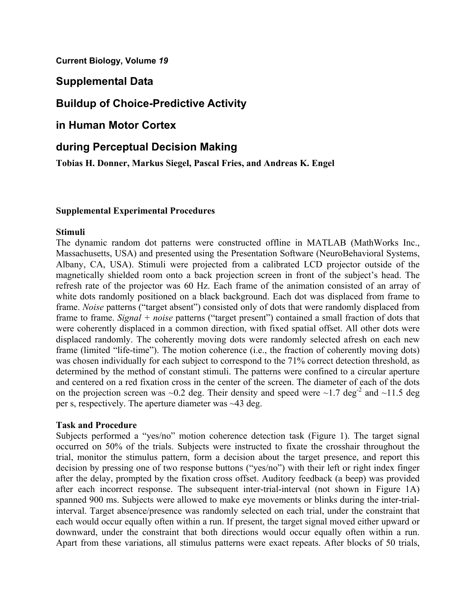**Current Biology, Volume** *19*

## **Supplemental Data**

# **Buildup of Choice-Predictive Activity**

**in Human Motor Cortex** 

## **during Perceptual Decision Making**

**Tobias H. Donner, Markus Siegel, Pascal Fries, and Andreas K. Engel** 

### **Supplemental Experimental Procedures**

### **Stimuli**

The dynamic random dot patterns were constructed offline in MATLAB (MathWorks Inc., Massachusetts, USA) and presented using the Presentation Software (NeuroBehavioral Systems, Albany, CA, USA). Stimuli were projected from a calibrated LCD projector outside of the magnetically shielded room onto a back projection screen in front of the subject's head. The refresh rate of the projector was 60 Hz. Each frame of the animation consisted of an array of white dots randomly positioned on a black background. Each dot was displaced from frame to frame. *Noise* patterns ("target absent") consisted only of dots that were randomly displaced from frame to frame. *Signal + noise* patterns ("target present") contained a small fraction of dots that were coherently displaced in a common direction, with fixed spatial offset. All other dots were displaced randomly. The coherently moving dots were randomly selected afresh on each new frame (limited "life-time"). The motion coherence (i.e., the fraction of coherently moving dots) was chosen individually for each subject to correspond to the 71% correct detection threshold, as determined by the method of constant stimuli. The patterns were confined to a circular aperture and centered on a red fixation cross in the center of the screen. The diameter of each of the dots on the projection screen was ~0.2 deg. Their density and speed were ~1.7 deg<sup>-2</sup> and ~11.5 deg per s, respectively. The aperture diameter was ~43 deg.

## **Task and Procedure**

Subjects performed a "yes/no" motion coherence detection task (Figure 1). The target signal occurred on 50% of the trials. Subjects were instructed to fixate the crosshair throughout the trial, monitor the stimulus pattern, form a decision about the target presence, and report this decision by pressing one of two response buttons ("yes/no") with their left or right index finger after the delay, prompted by the fixation cross offset. Auditory feedback (a beep) was provided after each incorrect response. The subsequent inter-trial-interval (not shown in Figure 1A) spanned 900 ms. Subjects were allowed to make eye movements or blinks during the inter-trialinterval. Target absence/presence was randomly selected on each trial, under the constraint that each would occur equally often within a run. If present, the target signal moved either upward or downward, under the constraint that both directions would occur equally often within a run. Apart from these variations, all stimulus patterns were exact repeats. After blocks of 50 trials,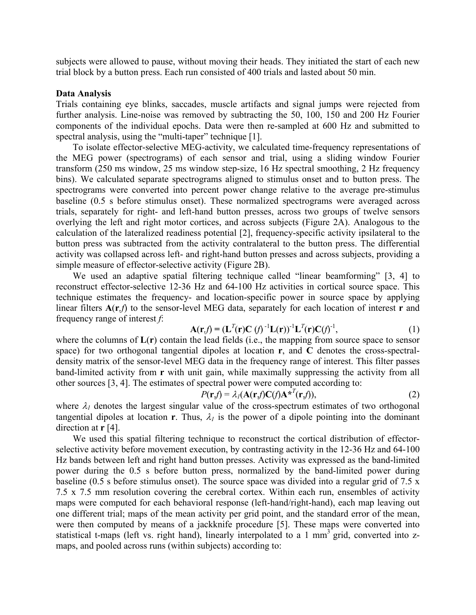subjects were allowed to pause, without moving their heads. They initiated the start of each new trial block by a button press. Each run consisted of 400 trials and lasted about 50 min.

### **Data Analysis**

Trials containing eye blinks, saccades, muscle artifacts and signal jumps were rejected from further analysis. Line-noise was removed by subtracting the 50, 100, 150 and 200 Hz Fourier components of the individual epochs. Data were then re-sampled at 600 Hz and submitted to spectral analysis, using the "multi-taper" technique [1].

To isolate effector-selective MEG-activity, we calculated time-frequency representations of the MEG power (spectrograms) of each sensor and trial, using a sliding window Fourier transform (250 ms window, 25 ms window step-size, 16 Hz spectral smoothing, 2 Hz frequency bins). We calculated separate spectrograms aligned to stimulus onset and to button press. The spectrograms were converted into percent power change relative to the average pre-stimulus baseline (0.5 s before stimulus onset). These normalized spectrograms were averaged across trials, separately for right- and left-hand button presses, across two groups of twelve sensors overlying the left and right motor cortices, and across subjects (Figure 2A). Analogous to the calculation of the lateralized readiness potential [2], frequency-specific activity ipsilateral to the button press was subtracted from the activity contralateral to the button press. The differential activity was collapsed across left- and right-hand button presses and across subjects, providing a simple measure of effector-selective activity (Figure 2B).

We used an adaptive spatial filtering technique called "linear beamforming" [3, 4] to reconstruct effector-selective 12-36 Hz and 64-100 Hz activities in cortical source space. This technique estimates the frequency- and location-specific power in source space by applying linear filters **A**(**r***,f*) to the sensor-level MEG data, separately for each location of interest **r** and frequency range of interest *f*:

$$
\mathbf{A}(\mathbf{r},f) = (\mathbf{L}^T(\mathbf{r})\mathbf{C}(f)^{-1}\mathbf{L}(\mathbf{r}))^{-1}\mathbf{L}^T(\mathbf{r})\mathbf{C}(f)^{-1},\tag{1}
$$

where the columns of **L**(**r**) contain the lead fields (i.e., the mapping from source space to sensor space) for two orthogonal tangential dipoles at location **r**, and **C** denotes the cross-spectraldensity matrix of the sensor-level MEG data in the frequency range of interest. This filter passes band-limited activity from **r** with unit gain, while maximally suppressing the activity from all other sources [3, 4]. The estimates of spectral power were computed according to:

$$
P(\mathbf{r}_j) = \lambda_l (\mathbf{A}(\mathbf{r}_j) \mathbf{C}(f) \mathbf{A}^{*T}(\mathbf{r}_j)),
$$
\n(2)

where  $\lambda_l$  denotes the largest singular value of the cross-spectrum estimates of two orthogonal tangential dipoles at location **r**. Thus,  $\lambda_l$  is the power of a dipole pointing into the dominant direction at **r** [4].

We used this spatial filtering technique to reconstruct the cortical distribution of effectorselective activity before movement execution, by contrasting activity in the 12-36 Hz and 64-100 Hz bands between left and right hand button presses. Activity was expressed as the band-limited power during the 0.5 s before button press, normalized by the band-limited power during baseline (0.5 s before stimulus onset). The source space was divided into a regular grid of 7.5 x 7.5 x 7.5 mm resolution covering the cerebral cortex. Within each run, ensembles of activity maps were computed for each behavioral response (left-hand/right-hand), each map leaving out one different trial; maps of the mean activity per grid point, and the standard error of the mean, were then computed by means of a jackknife procedure [5]. These maps were converted into statistical t-maps (left vs. right hand), linearly interpolated to a 1  $\text{mm}^3$  grid, converted into zmaps, and pooled across runs (within subjects) according to: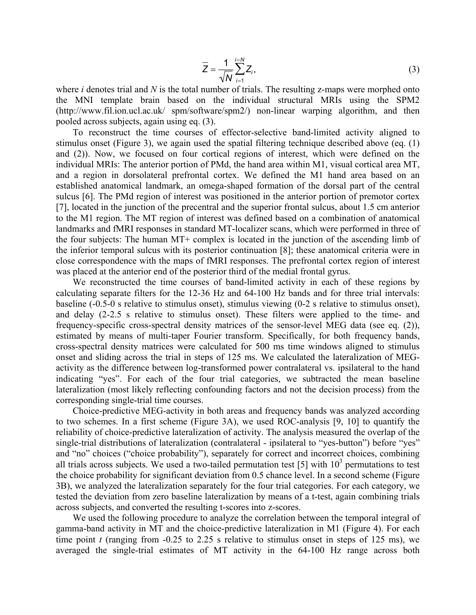$$
\overline{Z} = \frac{1}{\sqrt{N}} \sum_{i=1}^{i=N} Z_i,
$$
\n(3)

where *i* denotes trial and *N* is the total number of trials. The resulting z-maps were morphed onto the MNI template brain based on the individual structural MRIs using the SPM2 (http://www.fil.ion.ucl.ac.uk/ spm/software/spm2/) non-linear warping algorithm, and then pooled across subjects, again using eq. (3).

To reconstruct the time courses of effector-selective band-limited activity aligned to stimulus onset (Figure 3), we again used the spatial filtering technique described above (eq. (1) and (2)). Now, we focused on four cortical regions of interest, which were defined on the individual MRIs: The anterior portion of PMd, the hand area within M1, visual cortical area MT, and a region in dorsolateral prefrontal cortex. We defined the M1 hand area based on an established anatomical landmark, an omega-shaped formation of the dorsal part of the central sulcus [6]. The PMd region of interest was positioned in the anterior portion of premotor cortex [7], located in the junction of the precentral and the superior frontal sulcus, about 1.5 cm anterior to the M1 region. The MT region of interest was defined based on a combination of anatomical landmarks and fMRI responses in standard MT-localizer scans, which were performed in three of the four subjects: The human MT+ complex is located in the junction of the ascending limb of the inferior temporal sulcus with its posterior continuation [8]; these anatomical criteria were in close correspondence with the maps of fMRI responses. The prefrontal cortex region of interest was placed at the anterior end of the posterior third of the medial frontal gyrus.

We reconstructed the time courses of band-limited activity in each of these regions by calculating separate filters for the 12-36 Hz and 64-100 Hz bands and for three trial intervals: baseline (-0.5-0 s relative to stimulus onset), stimulus viewing (0-2 s relative to stimulus onset), and delay (2-2.5 s relative to stimulus onset). These filters were applied to the time- and frequency-specific cross-spectral density matrices of the sensor-level MEG data (see eq. (2)), estimated by means of multi-taper Fourier transform. Specifically, for both frequency bands, cross-spectral density matrices were calculated for 500 ms time windows aligned to stimulus onset and sliding across the trial in steps of 125 ms. We calculated the lateralization of MEGactivity as the difference between log-transformed power contralateral vs. ipsilateral to the hand indicating "yes". For each of the four trial categories, we subtracted the mean baseline lateralization (most likely reflecting confounding factors and not the decision process) from the corresponding single-trial time courses.

Choice-predictive MEG-activity in both areas and frequency bands was analyzed according to two schemes. In a first scheme (Figure 3A), we used ROC-analysis [9, 10] to quantify the reliability of choice-predictive lateralization of activity. The analysis measured the overlap of the single-trial distributions of lateralization (contralateral - ipsilateral to "yes-button") before "yes" and "no" choices ("choice probability"), separately for correct and incorrect choices, combining all trials across subjects. We used a two-tailed permutation test [5] with  $10<sup>3</sup>$  permutations to test the choice probability for significant deviation from 0.5 chance level. In a second scheme (Figure 3B), we analyzed the lateralization separately for the four trial categories. For each category, we tested the deviation from zero baseline lateralization by means of a t-test, again combining trials across subjects, and converted the resulting t-scores into z-scores.

We used the following procedure to analyze the correlation between the temporal integral of gamma-band activity in MT and the choice-predictive lateralization in M1 (Figure 4). For each time point *t* (ranging from -0.25 to 2.25 s relative to stimulus onset in steps of 125 ms), we averaged the single-trial estimates of MT activity in the 64-100 Hz range across both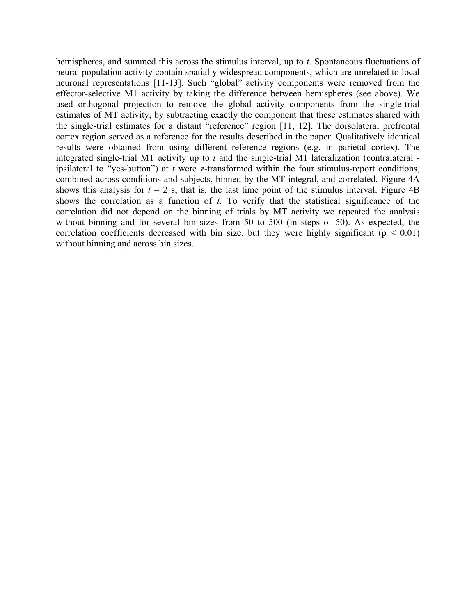hemispheres, and summed this across the stimulus interval, up to *t*. Spontaneous fluctuations of neural population activity contain spatially widespread components, which are unrelated to local neuronal representations [11-13]. Such "global" activity components were removed from the effector-selective M1 activity by taking the difference between hemispheres (see above). We used orthogonal projection to remove the global activity components from the single-trial estimates of MT activity, by subtracting exactly the component that these estimates shared with the single-trial estimates for a distant "reference" region [11, 12]. The dorsolateral prefrontal cortex region served as a reference for the results described in the paper. Qualitatively identical results were obtained from using different reference regions (e.g. in parietal cortex). The integrated single-trial MT activity up to *t* and the single-trial M1 lateralization (contralateral ipsilateral to "yes-button") at *t* were z-transformed within the four stimulus-report conditions, combined across conditions and subjects, binned by the MT integral, and correlated. Figure 4A shows this analysis for  $t = 2$  s, that is, the last time point of the stimulus interval. Figure 4B shows the correlation as a function of *t*. To verify that the statistical significance of the correlation did not depend on the binning of trials by MT activity we repeated the analysis without binning and for several bin sizes from 50 to 500 (in steps of 50). As expected, the correlation coefficients decreased with bin size, but they were highly significant ( $p < 0.01$ ) without binning and across bin sizes.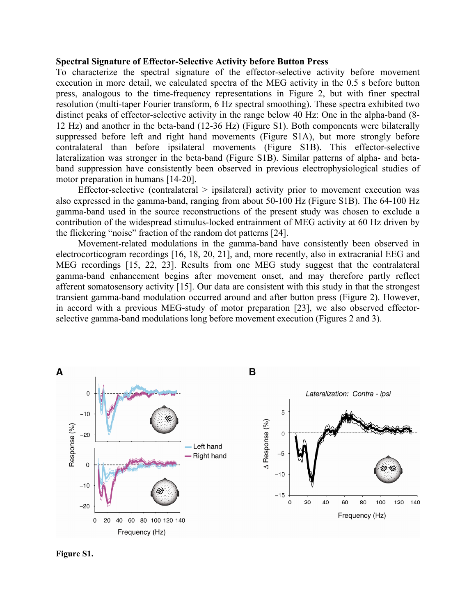#### **Spectral Signature of Effector-Selective Activity before Button Press**

To characterize the spectral signature of the effector-selective activity before movement execution in more detail, we calculated spectra of the MEG activity in the 0.5 s before button press, analogous to the time-frequency representations in Figure 2, but with finer spectral resolution (multi-taper Fourier transform, 6 Hz spectral smoothing). These spectra exhibited two distinct peaks of effector-selective activity in the range below 40 Hz: One in the alpha-band (8- 12 Hz) and another in the beta-band (12-36 Hz) (Figure S1). Both components were bilaterally suppressed before left and right hand movements (Figure S1A), but more strongly before contralateral than before ipsilateral movements (Figure S1B). This effector-selective lateralization was stronger in the beta-band (Figure S1B). Similar patterns of alpha- and betaband suppression have consistently been observed in previous electrophysiological studies of motor preparation in humans [14-20].

Effector-selective (contralateral > ipsilateral) activity prior to movement execution was also expressed in the gamma-band, ranging from about 50-100 Hz (Figure S1B). The 64-100 Hz gamma-band used in the source reconstructions of the present study was chosen to exclude a contribution of the widespread stimulus-locked entrainment of MEG activity at 60 Hz driven by the flickering "noise" fraction of the random dot patterns [24].

Movement-related modulations in the gamma-band have consistently been observed in electrocorticogram recordings [16, 18, 20, 21], and, more recently, also in extracranial EEG and MEG recordings [15, 22, 23]. Results from one MEG study suggest that the contralateral gamma-band enhancement begins after movement onset, and may therefore partly reflect afferent somatosensory activity [15]. Our data are consistent with this study in that the strongest transient gamma-band modulation occurred around and after button press (Figure 2). However, in accord with a previous MEG-study of motor preparation [23], we also observed effectorselective gamma-band modulations long before movement execution (Figures 2 and 3).



**Figure S1.**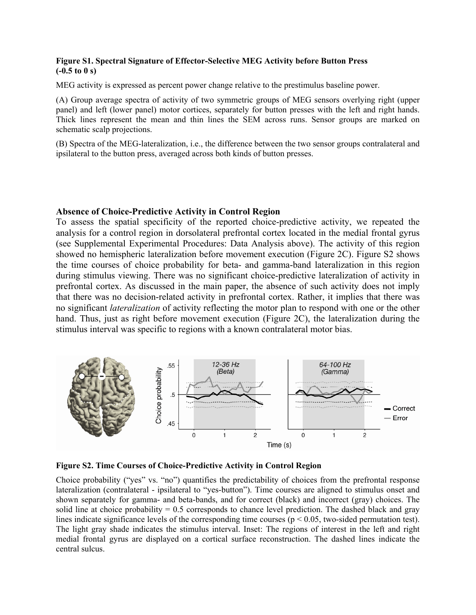### **Figure S1. Spectral Signature of Effector-Selective MEG Activity before Button Press (-0.5 to 0 s)**

MEG activity is expressed as percent power change relative to the prestimulus baseline power.

(A) Group average spectra of activity of two symmetric groups of MEG sensors overlying right (upper panel) and left (lower panel) motor cortices, separately for button presses with the left and right hands. Thick lines represent the mean and thin lines the SEM across runs. Sensor groups are marked on schematic scalp projections.

(B) Spectra of the MEG-lateralization, i.e., the difference between the two sensor groups contralateral and ipsilateral to the button press, averaged across both kinds of button presses.

### **Absence of Choice-Predictive Activity in Control Region**

To assess the spatial specificity of the reported choice-predictive activity, we repeated the analysis for a control region in dorsolateral prefrontal cortex located in the medial frontal gyrus (see Supplemental Experimental Procedures: Data Analysis above). The activity of this region showed no hemispheric lateralization before movement execution (Figure 2C). Figure S2 shows the time courses of choice probability for beta- and gamma-band lateralization in this region during stimulus viewing. There was no significant choice-predictive lateralization of activity in prefrontal cortex. As discussed in the main paper, the absence of such activity does not imply that there was no decision-related activity in prefrontal cortex. Rather, it implies that there was no significant *lateralization* of activity reflecting the motor plan to respond with one or the other hand. Thus, just as right before movement execution (Figure 2C), the lateralization during the stimulus interval was specific to regions with a known contralateral motor bias.



**Figure S2. Time Courses of Choice-Predictive Activity in Control Region** 

Choice probability ("yes" vs. "no") quantifies the predictability of choices from the prefrontal response lateralization (contralateral - ipsilateral to "yes-button"). Time courses are aligned to stimulus onset and shown separately for gamma- and beta-bands, and for correct (black) and incorrect (gray) choices. The solid line at choice probability  $= 0.5$  corresponds to chance level prediction. The dashed black and gray lines indicate significance levels of the corresponding time courses ( $p < 0.05$ , two-sided permutation test). The light gray shade indicates the stimulus interval. Inset: The regions of interest in the left and right medial frontal gyrus are displayed on a cortical surface reconstruction. The dashed lines indicate the central sulcus.